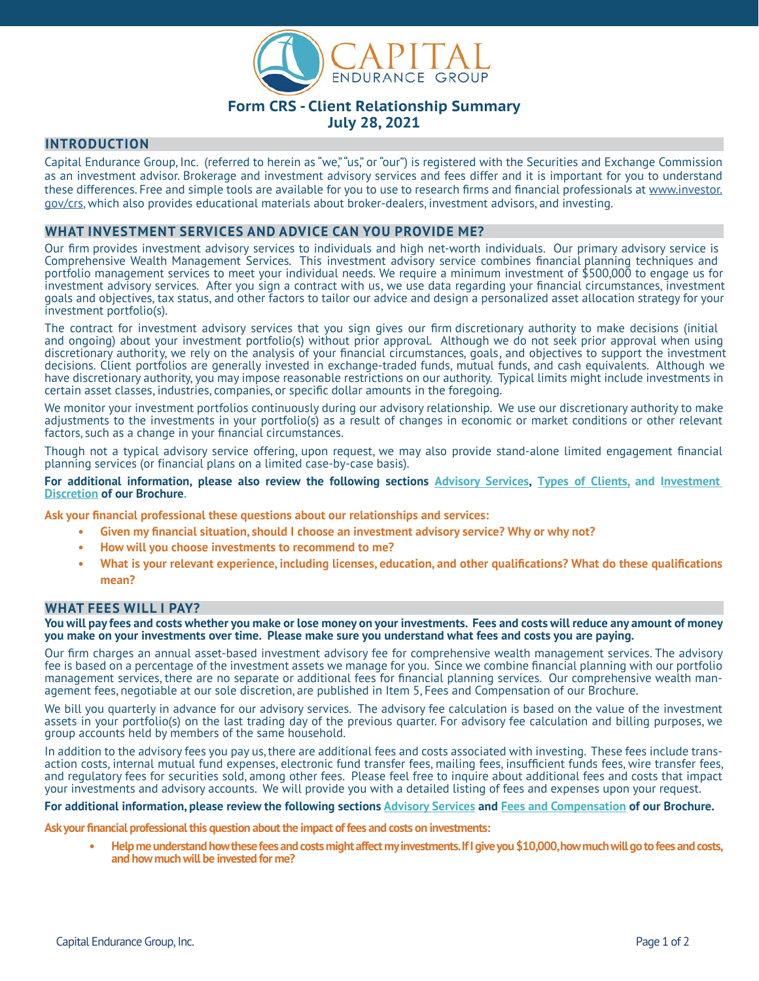

# **Form CRS - Client Relationship Summary July 28, 2021**

### **INTRODUCTION**

Capital Endurance Group, Inc. (referred to herein as "we," "us," or "our") is registered with the Securities and Exchange Commission as an investment advisor. Brokerage and investment advisory services and fees differ and it is important for you to understand these differences. Free and simple tools are available for you to use to research firms and financial professionals at [www.investor.](http://www.investor.gov/crs) [gov/crs](http://www.investor.gov/crs), which also provides educational materials about broker-dealers, investment advisors, and investing.

### **WHAT INVESTMENT SERVICES AND ADVICE CAN YOU PROVIDE ME?**

Our firm provides investment advisory services to individuals and high net-worth individuals. Our primary advisory service is Comprehensive Wealth Management Services. This investment advisory service combines financial planning techniques and portfolio management services to meet your individual needs. We require a minimum investment of \$500,000 to engage us for investment advisory services. After you sign a contract with us, we use data regarding your financial circumstances, investment goals and objectives, tax status, and other factors to tailor our advice and design a personalized asset allocation strategy for your investment portfolio(s).

The contract for investment advisory services that you sign gives our firm discretionary authority to make decisions (initial and ongoing) about your investment portfolio(s) without prior approval. Although we do not seek prior approval when using discretionary authority, we rely on the analysis of your financial circumstances, goals, and objectives to support the investment decisions. Client portfolios are generally invested in exchange-traded funds, mutual funds, and cash equivalents. Although we have discretionary authority, you may impose reasonable restrictions on our authority. Typical limits might include investments in certain asset classes, industries, companies, or specific dollar amounts in the foregoing.

We monitor your investment portfolios continuously during our advisory relationship. We use our discretionary authority to make adjustments to the investments in your portfolio(s) as a result of changes in economic or market conditions or other relevant factors, such as a change in your financial circumstances.

Though not a typical advisory service offering, upon request, we may also provide stand-alone limited engagement financial planning services (or financial plans on a limited case-by-case basis).

**For additional information, please also review the following sections Advisory Services, Types of Clients, and Investment Discretion of our Brochure.**

**Ask your financial professional these questions about our relationships and services:** 

- **• Given my financial situation, should I choose an investment advisory service? Why or why not?**
- **• How will you choose investments to recommend to me?**
- **• What is your relevant experience, including licenses, education, and other qualifications? What do these qualifications mean?**

### **WHAT FEES WILL I PAY?**

**You will pay fees and costs whether you make or lose money on your investments. Fees and costs will reduce any amount of money you make on your investments over time. Please make sure you understand what fees and costs you are paying.**

Our firm charges an annual asset-based investment advisory fee for comprehensive wealth management services. The advisory fee is based on a percentage of the investment assets we manage for you. Since we combine financial planning with our portfolio management services, there are no separate or additional fees for financial planning services. Our comprehensive wealth management fees, negotiable at our sole discretion, are published in Item 5, Fees and Compensation of our Brochure.

We bill you quarterly in advance for our advisory services. The advisory fee calculation is based on the value of the investment assets in your portfolio(s) on the last trading day of the previous quarter. For advisory fee calculation and billing purposes, we group accounts held by members of the same household.

In addition to the advisory fees you pay us, there are additional fees and costs associated with investing. These fees include transaction costs, internal mutual fund expenses, electronic fund transfer fees, mailing fees, insufficient funds fees, wire transfer fees, and regulatory fees for securities sold, among other fees. Please feel free to inquire about additional fees and costs that impact your investments and advisory accounts. We will provide you with a detailed listing of fees and expenses upon your request.

#### **For additional information, please review the following sections Advisory Services and Fees and Compensation of our Brochure.**

**Ask your financial professional this question about the impact of fees and costs on investments:**

**• Help me understand how these fees and costs might affect my investments. If I give you \$10,000, how much will go to fees and costs, and how much will be invested for me?**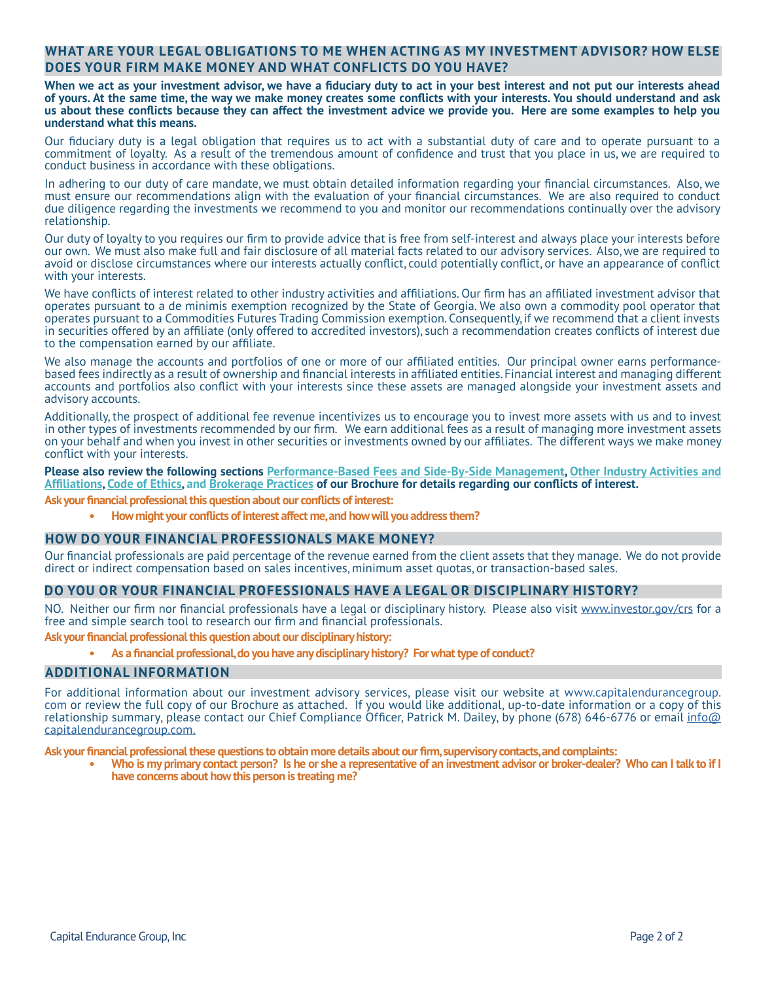# **WHAT ARE YOUR LEGAL OBLIGATIONS TO ME WHEN ACTING AS MY INVESTMENT ADVISOR? HOW ELSE DOES YOUR FIRM MAKE MONEY AND WHAT CONFLICTS DO YOU HAVE?**

**When we act as your investment advisor, we have a fiduciary duty to act in your best interest and not put our interests ahead of yours. At the same time, the way we make money creates some conflicts with your interests. You should understand and ask us about these conflicts because they can affect the investment advice we provide you. Here are some examples to help you understand what this means.**

Our fiduciary duty is a legal obligation that requires us to act with a substantial duty of care and to operate pursuant to a commitment of loyalty. As a result of the tremendous amount of confidence and trust that you place in us, we are required to conduct business in accordance with these obligations.

In adhering to our duty of care mandate, we must obtain detailed information regarding your financial circumstances. Also, we must ensure our recommendations align with the evaluation of your financial circumstances. We are also required to conduct due diligence regarding the investments we recommend to you and monitor our recommendations continually over the advisory relationship.

Our duty of loyalty to you requires our firm to provide advice that is free from self-interest and always place your interests before our own. We must also make full and fair disclosure of all material facts related to our advisory services. Also, we are required to avoid or disclose circumstances where our interests actually conflict, could potentially conflict, or have an appearance of conflict with your interests.

We have conflicts of interest related to other industry activities and affiliations. Our firm has an affiliated investment advisor that operates pursuant to a de minimis exemption recognized by the State of Georgia. We also own a commodity pool operator that operates pursuant to a Commodities Futures Trading Commission exemption. Consequently, if we recommend that a client invests in securities offered by an affiliate (only offered to accredited investors), such a recommendation creates conflicts of interest due to the compensation earned by our affiliate.

We also manage the accounts and portfolios of one or more of our affiliated entities. Our principal owner earns performancebased fees indirectly as a result of ownership and financial interests in affiliated entities. Financial interest and managing different accounts and portfolios also conflict with your interests since these assets are managed alongside your investment assets and advisory accounts.

Additionally, the prospect of additional fee revenue incentivizes us to encourage you to invest more assets with us and to invest in other types of investments recommended by our firm. We earn additional fees as a result of managing more investment assets on your behalf and when you invest in other securities or investments owned by our affiliates. The different ways we make money conflict with your interests.

**Please also review the following sections Performance-Based Fees and Side-By-Side Management, Other Industry Activities and Affiliations, Code of Ethics, and Brokerage Practices of our Brochure for details regarding our conflicts of interest.**

**Ask your financial professional this question about our conflicts of interest:** 

**• How might your conflicts of interest affect me, and how will you address them?**

### **HOW DO YOUR FINANCIAL PROFESSIONALS MAKE MONEY?**

Our financial professionals are paid percentage of the revenue earned from the client assets that they manage. We do not provide direct or indirect compensation based on sales incentives, minimum asset quotas, or transaction-based sales.

### **DO YOU OR YOUR FINANCIAL PROFESSIONALS HAVE A LEGAL OR DISCIPLINARY HISTORY?**

NO. Neither our firm nor financial professionals have a legal or disciplinary history. Please also visit [www.investor.gov/crs](http://www.investor.gov/crs) for a free and simple search tool to research our firm and financial professionals.

#### **Ask your financial professional this question about our disciplinary history:**

**• As a financial professional, do you have any disciplinary history? For what type of conduct?**

### **ADDITIONAL INFORMATION**

For additional information about our investment advisory services, please visit our website at www.capitalendurancegroup. com or review the full copy of our Brochure as attached. If you would like additional, up-to-date information or a copy of this r[e](http://nfo@capitalendurancegroup.com  )lationship summary, please contact our Chief Compliance Officer, Patrick M. Dailey, by phone (678) 646-6776 or email [info@](http://info@capitalendurancegroup.com) [capitalendurancegroup.com.](http://info@capitalendurancegroup.com)

**Ask your financial professional these questions to obtain more details about our firm, supervisory contacts, and complaints:**

**• Who is my primary contact person? Is he or she a representative of an investment advisor or broker-dealer? Who can I talk to if I have concerns about how this person is treating me?**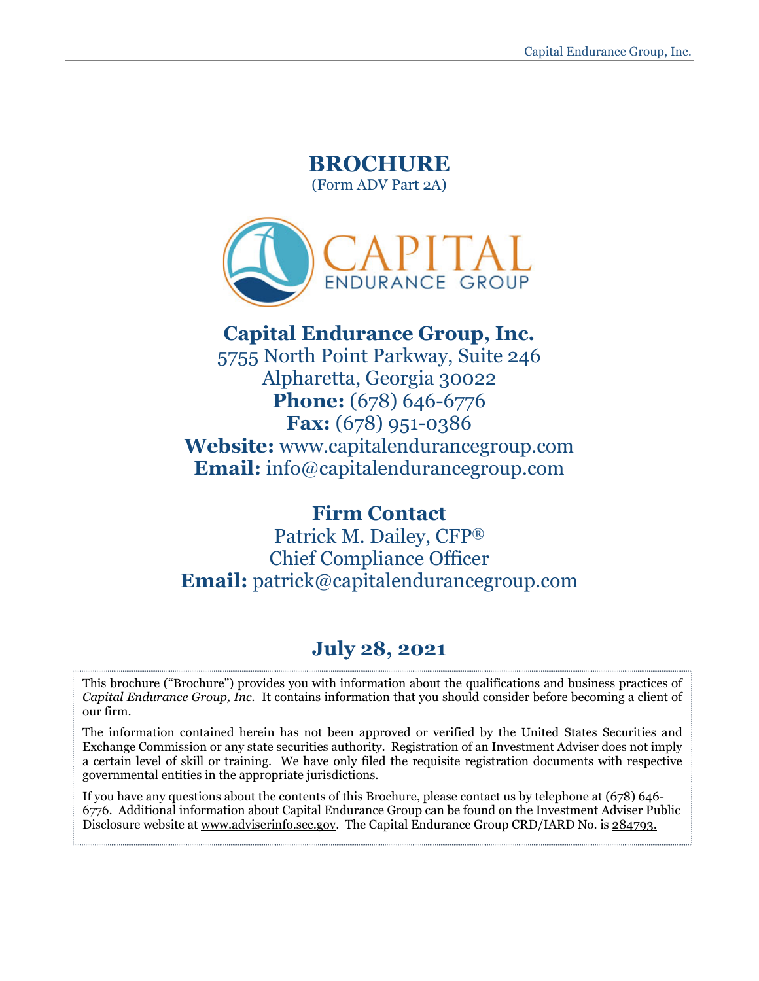# **BROCHURE**  (Form ADV Part 2A)



# **Capital Endurance Group, Inc.**

5755 North Point Parkway, Suite 246 Alpharetta, Georgia 30022 **Phone:** (678) 646-6776 **Fax:** (678) 951-0386 **Website:** www.capitalendurancegroup.com **Email:** info@capitalendurancegroup.com

# **Firm Contact**

Patrick M. Dailey, CFP® Chief Compliance Officer **Email:** patrick@capitalendurancegroup.com

# **July 28, 2021**

This brochure ("Brochure") provides you with information about the qualifications and business practices of *Capital Endurance Group, Inc.* It contains information that you should consider before becoming a client of our firm.

The information contained herein has not been approved or verified by the United States Securities and Exchange Commission or any state securities authority. Registration of an Investment Adviser does not imply a certain level of skill or training. We have only filed the requisite registration documents with respective governmental entities in the appropriate jurisdictions.

If you have any questions about the contents of this Brochure, please contact us by telephone at (678) 646- 6776. Additional information about Capital Endurance Group can be found on the Investment Adviser Public Disclosure website at [www.adviserinfo.sec.gov.](http://www.adviserinfo.sec.gov/) The Capital Endurance Group CRD/IARD No. is 284793.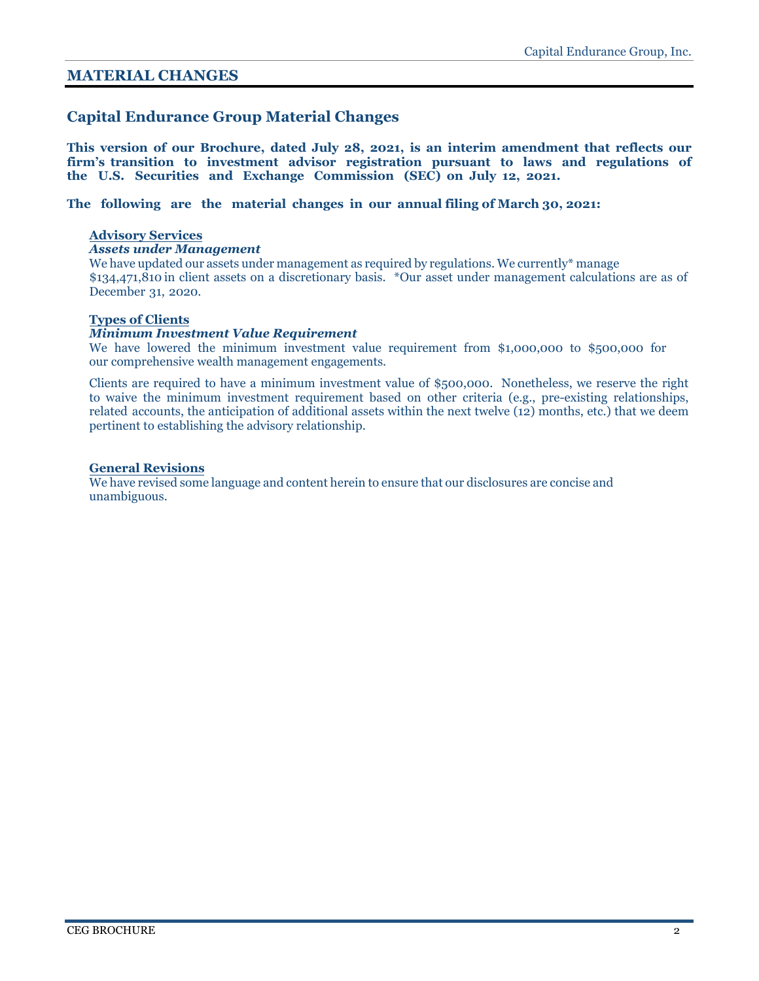# <span id="page-3-0"></span>**MATERIAL CHANGES**

# **Capital Endurance Group Material Changes**

**This version of our Brochure, dated July 28, 2021, is an interim amendment that reflects our firm's transition to investment advisor registration pursuant to laws and regulations of the U.S. Securities and Exchange Commission (SEC) on July 12, 2021.** 

**The following are the material changes in our annual filing of March 30, 2021:** 

#### **Advisory Services**

#### *Assets under Management*

We have updated our assets under management as required by regulations. We currently\* manage \$134,471,810 in client assets on a discretionary basis. \*Our asset under management calculations are as of December 31, 2020.

#### **Types of Clients**

### *Minimum Investment Value Requirement*

We have lowered the minimum investment value requirement from \$1,000,000 to \$500,000 for our comprehensive wealth management engagements.

Clients are required to have a minimum investment value of \$500,000. Nonetheless, we reserve the right to waive the minimum investment requirement based on other criteria (e.g., pre-existing relationships, related accounts, the anticipation of additional assets within the next twelve (12) months, etc.) that we deem pertinent to establishing the advisory relationship.

#### **General Revisions**

We have revised some language and content herein to ensure that our disclosures are concise and unambiguous.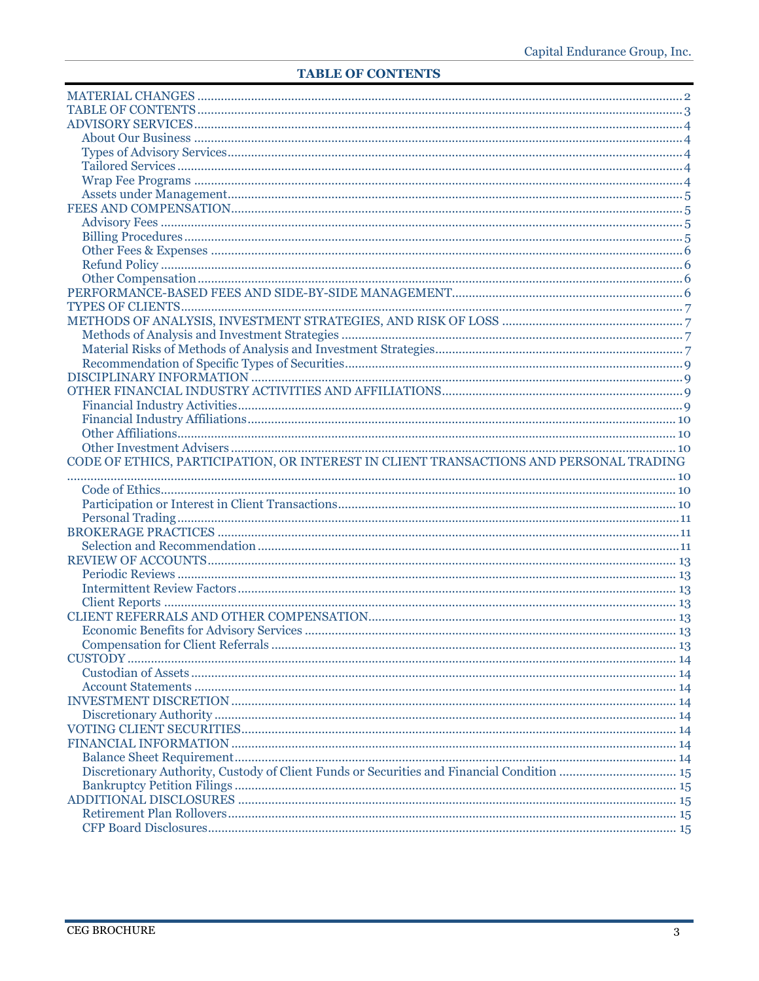# <span id="page-4-0"></span>**TABLE OF CONTENTS**

| CODE OF ETHICS, PARTICIPATION, OR INTEREST IN CLIENT TRANSACTIONS AND PERSONAL TRADING |  |
|----------------------------------------------------------------------------------------|--|
|                                                                                        |  |
|                                                                                        |  |
|                                                                                        |  |
|                                                                                        |  |
|                                                                                        |  |
|                                                                                        |  |
|                                                                                        |  |
|                                                                                        |  |
|                                                                                        |  |
|                                                                                        |  |
|                                                                                        |  |
|                                                                                        |  |
|                                                                                        |  |
|                                                                                        |  |
|                                                                                        |  |
|                                                                                        |  |
|                                                                                        |  |
|                                                                                        |  |
|                                                                                        |  |
|                                                                                        |  |
|                                                                                        |  |
|                                                                                        |  |
|                                                                                        |  |
|                                                                                        |  |
|                                                                                        |  |
|                                                                                        |  |
|                                                                                        |  |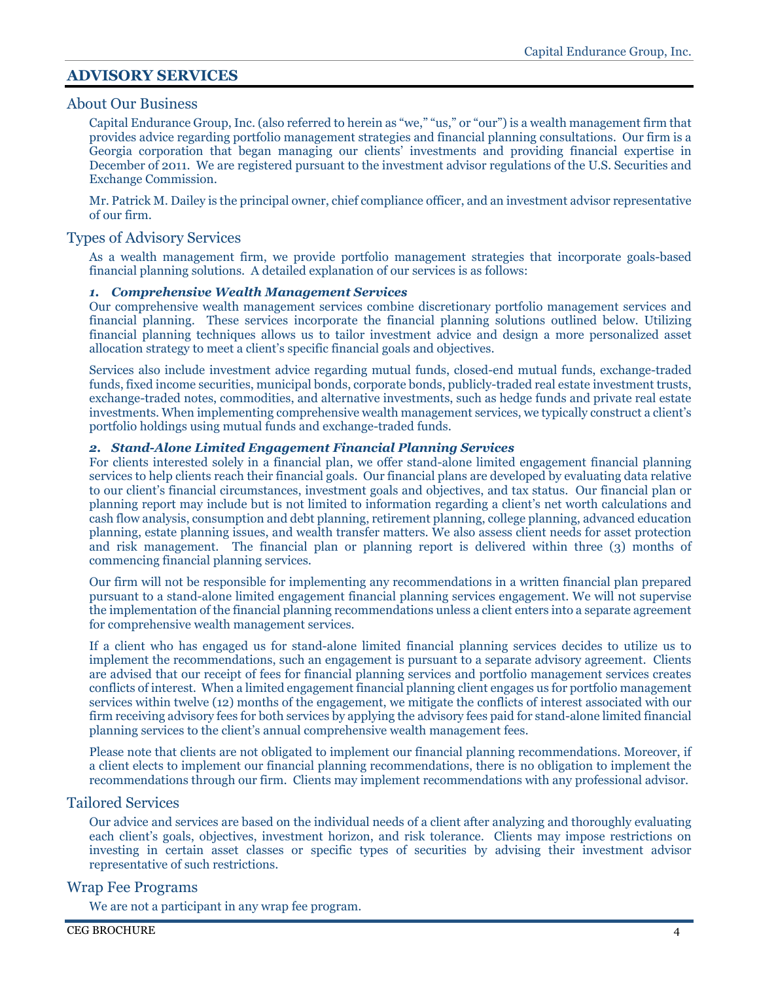# <span id="page-5-0"></span>**ADVISORY SERVICES**

# <span id="page-5-1"></span>About Our Business

Capital Endurance Group, Inc. (also referred to herein as "we," "us," or "our") is a wealth management firm that provides advice regarding portfolio management strategies and financial planning consultations. Our firm is a Georgia corporation that began managing our clients' investments and providing financial expertise in December of 2011. We are registered pursuant to the investment advisor regulations of the U.S. Securities and Exchange Commission.

Mr. Patrick M. Dailey is the principal owner, chief compliance officer, and an investment advisor representative of our firm.

# <span id="page-5-2"></span>Types of Advisory Services

As a wealth management firm, we provide portfolio management strategies that incorporate goals-based financial planning solutions. A detailed explanation of our services is as follows:

### *1. Comprehensive Wealth Management Services*

Our comprehensive wealth management services combine discretionary portfolio management services and financial planning. These services incorporate the financial planning solutions outlined below. Utilizing financial planning techniques allows us to tailor investment advice and design a more personalized asset allocation strategy to meet a client's specific financial goals and objectives.

Services also include investment advice regarding mutual funds, closed-end mutual funds, exchange-traded funds, fixed income securities, municipal bonds, corporate bonds, publicly-traded real estate investment trusts, exchange-traded notes, commodities, and alternative investments, such as hedge funds and private real estate investments. When implementing comprehensive wealth management services, we typically construct a client's portfolio holdings using mutual funds and exchange-traded funds.

### *2. Stand-Alone Limited Engagement Financial Planning Services*

For clients interested solely in a financial plan, we offer stand-alone limited engagement financial planning services to help clients reach their financial goals. Our financial plans are developed by evaluating data relative to our client's financial circumstances, investment goals and objectives, and tax status. Our financial plan or planning report may include but is not limited to information regarding a client's net worth calculations and cash flow analysis, consumption and debt planning, retirement planning, college planning, advanced education planning, estate planning issues, and wealth transfer matters. We also assess client needs for asset protection and risk management. The financial plan or planning report is delivered within three (3) months of commencing financial planning services.

Our firm will not be responsible for implementing any recommendations in a written financial plan prepared pursuant to a stand-alone limited engagement financial planning services engagement. We will not supervise the implementation of the financial planning recommendations unless a client enters into a separate agreement for comprehensive wealth management services.

If a client who has engaged us for stand-alone limited financial planning services decides to utilize us to implement the recommendations, such an engagement is pursuant to a separate advisory agreement. Clients are advised that our receipt of fees for financial planning services and portfolio management services creates conflicts of interest. When a limited engagement financial planning client engages us for portfolio management services within twelve (12) months of the engagement, we mitigate the conflicts of interest associated with our firm receiving advisory fees for both services by applying the advisory fees paid for stand-alone limited financial planning services to the client's annual comprehensive wealth management fees.

Please note that clients are not obligated to implement our financial planning recommendations. Moreover, if a client elects to implement our financial planning recommendations, there is no obligation to implement the recommendations through our firm. Clients may implement recommendations with any professional advisor.

# <span id="page-5-3"></span>Tailored Services

Our advice and services are based on the individual needs of a client after analyzing and thoroughly evaluating each client's goals, objectives, investment horizon, and risk tolerance. Clients may impose restrictions on investing in certain asset classes or specific types of securities by advising their investment advisor representative of such restrictions.

# <span id="page-5-4"></span>Wrap Fee Programs

We are not a participant in any wrap fee program.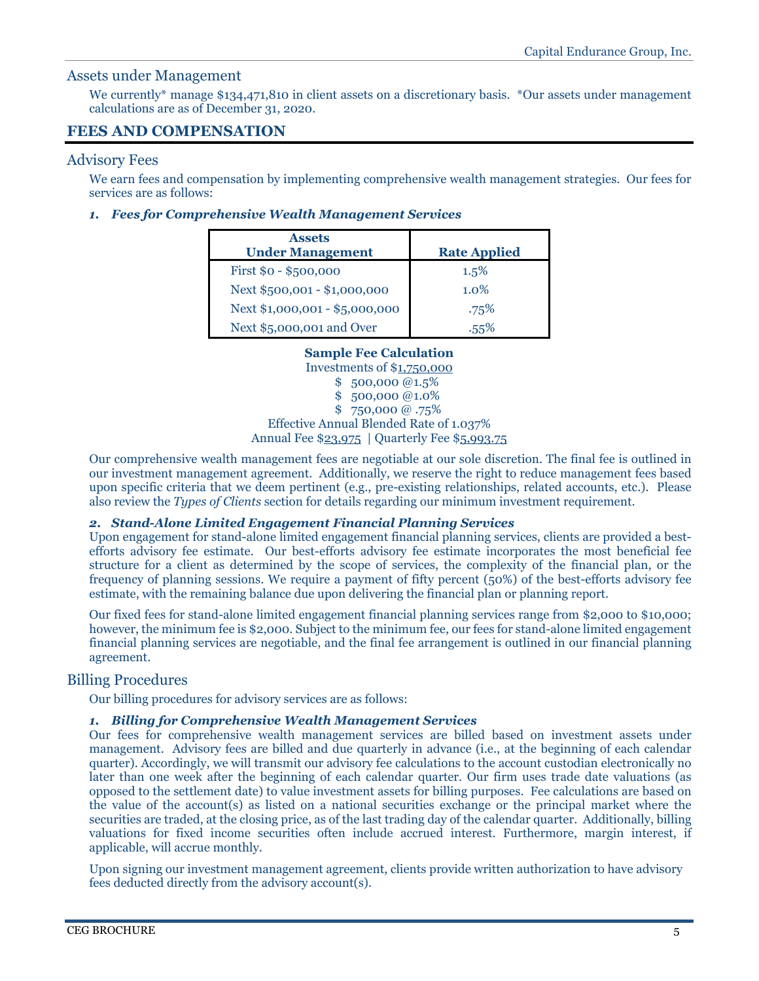# <span id="page-6-0"></span>Assets under Management

We currently<sup>\*</sup> manage \$134,471,810 in client assets on a discretionary basis. \*Our assets under management calculations are as of December 31, 2020.

# <span id="page-6-1"></span>**FEES AND COMPENSATION**

### <span id="page-6-2"></span>Advisory Fees

We earn fees and compensation by implementing comprehensive wealth management strategies. Our fees for services are as follows:

### *1. Fees for Comprehensive Wealth Management Services*

| <b>Assets</b><br><b>Under Management</b> | <b>Rate Applied</b> |
|------------------------------------------|---------------------|
| First \$0 - \$500,000                    | 1.5%                |
| Next \$500,001 - \$1,000,000             | $1.0\%$             |
| Next \$1,000,001 - \$5,000,000           | .75%                |
| Next \$5,000,001 and Over                | 55%                 |

# **Sample Fee Calculation**

Investments of \$1,750,000 \$ 500,000 @1.5% \$ 500,000 @1.0% \$ 750,000 @ .75% Effective Annual Blended Rate of 1.037% Annual Fee \$23,975 | Quarterly Fee \$5,993.75

Our comprehensive wealth management fees are negotiable at our sole discretion. The final fee is outlined in our investment management agreement. Additionally, we reserve the right to reduce management fees based upon specific criteria that we deem pertinent (e.g., pre-existing relationships, related accounts, etc.). Please also review the *Types of Clients* section for details regarding our minimum investment requirement.

### *2. Stand-Alone Limited Engagement Financial Planning Services*

Upon engagement for stand-alone limited engagement financial planning services, clients are provided a bestefforts advisory fee estimate. Our best-efforts advisory fee estimate incorporates the most beneficial fee structure for a client as determined by the scope of services, the complexity of the financial plan, or the frequency of planning sessions. We require a payment of fifty percent (50%) of the best-efforts advisory fee estimate, with the remaining balance due upon delivering the financial plan or planning report.

Our fixed fees for stand-alone limited engagement financial planning services range from \$2,000 to \$10,000; however, the minimum fee is \$2,000. Subject to the minimum fee, our fees for stand-alone limited engagement financial planning services are negotiable, and the final fee arrangement is outlined in our financial planning agreement.

# <span id="page-6-3"></span>Billing Procedures

Our billing procedures for advisory services are as follows:

# *1. Billing for Comprehensive Wealth Management Services*

Our fees for comprehensive wealth management services are billed based on investment assets under management. Advisory fees are billed and due quarterly in advance (i.e., at the beginning of each calendar quarter). Accordingly, we will transmit our advisory fee calculations to the account custodian electronically no later than one week after the beginning of each calendar quarter. Our firm uses trade date valuations (as opposed to the settlement date) to value investment assets for billing purposes. Fee calculations are based on the value of the account(s) as listed on a national securities exchange or the principal market where the securities are traded, at the closing price, as of the last trading day of the calendar quarter. Additionally, billing valuations for fixed income securities often include accrued interest. Furthermore, margin interest, if applicable, will accrue monthly.

Upon signing our investment management agreement, clients provide written authorization to have advisory fees deducted directly from the advisory account(s).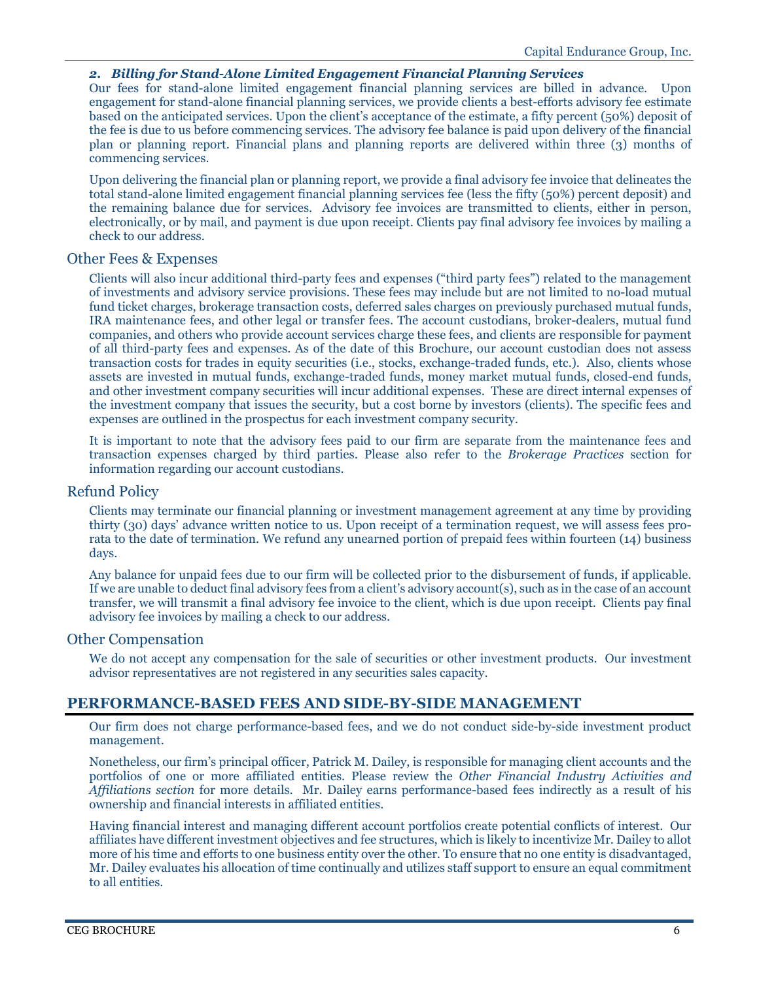# *2. Billing for Stand-Alone Limited Engagement Financial Planning Services*

Our fees for stand-alone limited engagement financial planning services are billed in advance. Upon engagement for stand-alone financial planning services, we provide clients a best-efforts advisory fee estimate based on the anticipated services. Upon the client's acceptance of the estimate, a fifty percent (50%) deposit of the fee is due to us before commencing services. The advisory fee balance is paid upon delivery of the financial plan or planning report. Financial plans and planning reports are delivered within three (3) months of commencing services.

Upon delivering the financial plan or planning report, we provide a final advisory fee invoice that delineates the total stand-alone limited engagement financial planning services fee (less the fifty (50%) percent deposit) and the remaining balance due for services. Advisory fee invoices are transmitted to clients, either in person, electronically, or by mail, and payment is due upon receipt. Clients pay final advisory fee invoices by mailing a check to our address.

# <span id="page-7-0"></span>Other Fees & Expenses

Clients will also incur additional third-party fees and expenses ("third party fees") related to the management of investments and advisory service provisions. These fees may include but are not limited to no-load mutual fund ticket charges, brokerage transaction costs, deferred sales charges on previously purchased mutual funds, IRA maintenance fees, and other legal or transfer fees. The account custodians, broker-dealers, mutual fund companies, and others who provide account services charge these fees, and clients are responsible for payment of all third-party fees and expenses. As of the date of this Brochure, our account custodian does not assess transaction costs for trades in equity securities (i.e., stocks, exchange-traded funds, etc.). Also, clients whose assets are invested in mutual funds, exchange-traded funds, money market mutual funds, closed-end funds, and other investment company securities will incur additional expenses. These are direct internal expenses of the investment company that issues the security, but a cost borne by investors (clients). The specific fees and expenses are outlined in the prospectus for each investment company security.

It is important to note that the advisory fees paid to our firm are separate from the maintenance fees and transaction expenses charged by third parties. Please also refer to the *Brokerage Practices* section for information regarding our account custodians.

# <span id="page-7-1"></span>Refund Policy

Clients may terminate our financial planning or investment management agreement at any time by providing thirty (30) days' advance written notice to us. Upon receipt of a termination request, we will assess fees prorata to the date of termination. We refund any unearned portion of prepaid fees within fourteen (14) business days.

Any balance for unpaid fees due to our firm will be collected prior to the disbursement of funds, if applicable. If we are unable to deduct final advisory fees from a client's advisory account(s), such as in the case of an account transfer, we will transmit a final advisory fee invoice to the client, which is due upon receipt. Clients pay final advisory fee invoices by mailing a check to our address.

# <span id="page-7-2"></span>Other Compensation

We do not accept any compensation for the sale of securities or other investment products. Our investment advisor representatives are not registered in any securities sales capacity.

# <span id="page-7-3"></span>**PERFORMANCE-BASED FEES AND SIDE-BY-SIDE MANAGEMENT**

Our firm does not charge performance-based fees, and we do not conduct side-by-side investment product management.

Nonetheless, our firm's principal officer, Patrick M. Dailey, is responsible for managing client accounts and the portfolios of one or more affiliated entities. Please review the *Other Financial Industry Activities and Affiliations section* for more details. Mr. Dailey earns performance-based fees indirectly as a result of his ownership and financial interests in affiliated entities.

Having financial interest and managing different account portfolios create potential conflicts of interest. Our affiliates have different investment objectives and fee structures, which is likely to incentivize Mr. Dailey to allot more of his time and efforts to one business entity over the other. To ensure that no one entity is disadvantaged, Mr. Dailey evaluates his allocation of time continually and utilizes staff support to ensure an equal commitment to all entities.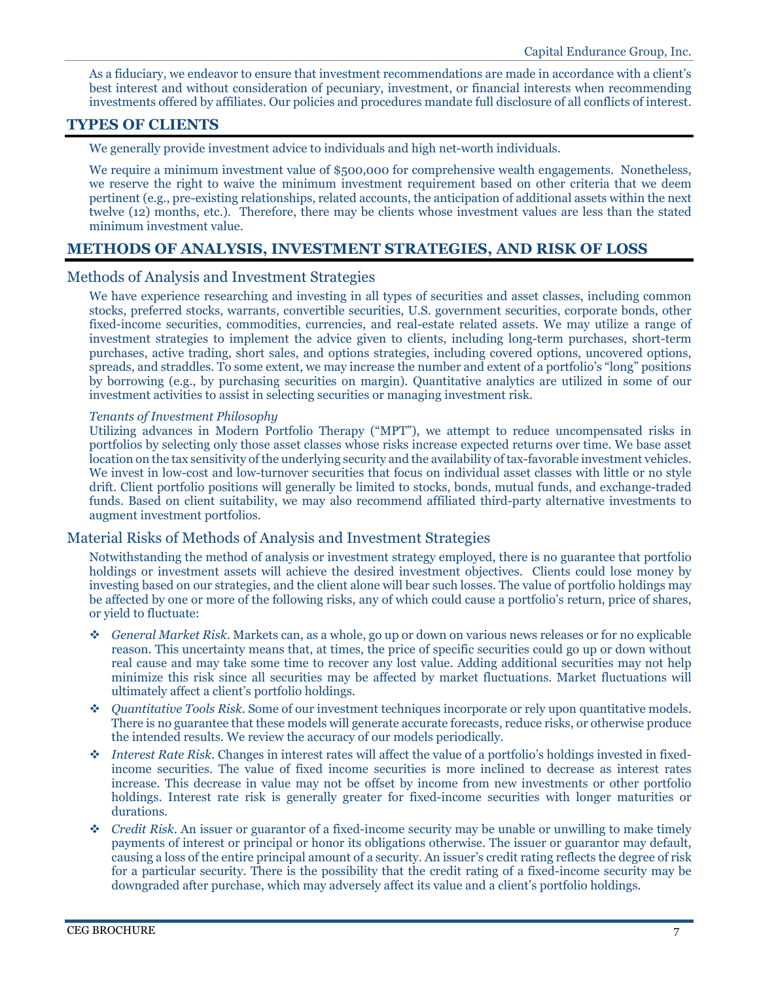As a fiduciary, we endeavor to ensure that investment recommendations are made in accordance with a client's best interest and without consideration of pecuniary, investment, or financial interests when recommending investments offered by affiliates. Our policies and procedures mandate full disclosure of all conflicts of interest.

# <span id="page-8-0"></span>**TYPES OF CLIENTS**

We generally provide investment advice to individuals and high net-worth individuals.

We require a minimum investment value of \$500,000 for comprehensive wealth engagements. Nonetheless, we reserve the right to waive the minimum investment requirement based on other criteria that we deem pertinent (e.g., pre-existing relationships, related accounts, the anticipation of additional assets within the next twelve (12) months, etc.). Therefore, there may be clients whose investment values are less than the stated minimum investment value.

# <span id="page-8-1"></span>**METHODS OF ANALYSIS, INVESTMENT STRATEGIES, AND RISK OF LOSS**

# <span id="page-8-2"></span>Methods of Analysis and Investment Strategies

We have experience researching and investing in all types of securities and asset classes, including common stocks, preferred stocks, warrants, convertible securities, U.S. government securities, corporate bonds, other fixed-income securities, commodities, currencies, and real-estate related assets. We may utilize a range of investment strategies to implement the advice given to clients, including long-term purchases, short-term purchases, active trading, short sales, and options strategies, including covered options, uncovered options, spreads, and straddles. To some extent, we may increase the number and extent of a portfolio's "long" positions by borrowing (e.g., by purchasing securities on margin). Quantitative analytics are utilized in some of our investment activities to assist in selecting securities or managing investment risk.

### *Tenants of Investment Philosophy*

Utilizing advances in Modern Portfolio Therapy ("MPT"), we attempt to reduce uncompensated risks in portfolios by selecting only those asset classes whose risks increase expected returns over time. We base asset location on the tax sensitivity of the underlying security and the availability of tax-favorable investment vehicles. We invest in low-cost and low-turnover securities that focus on individual asset classes with little or no style drift. Client portfolio positions will generally be limited to stocks, bonds, mutual funds, and exchange-traded funds. Based on client suitability, we may also recommend affiliated third-party alternative investments to augment investment portfolios.

# <span id="page-8-3"></span>Material Risks of Methods of Analysis and Investment Strategies

Notwithstanding the method of analysis or investment strategy employed, there is no guarantee that portfolio holdings or investment assets will achieve the desired investment objectives. Clients could lose money by investing based on our strategies, and the client alone will bear such losses. The value of portfolio holdings may be affected by one or more of the following risks, any of which could cause a portfolio's return, price of shares, or yield to fluctuate:

- *General Market Risk*. Markets can, as a whole, go up or down on various news releases or for no explicable reason. This uncertainty means that, at times, the price of specific securities could go up or down without real cause and may take some time to recover any lost value. Adding additional securities may not help minimize this risk since all securities may be affected by market fluctuations. Market fluctuations will ultimately affect a client's portfolio holdings.
- *Quantitative Tools Risk*. Some of our investment techniques incorporate or rely upon quantitative models. There is no guarantee that these models will generate accurate forecasts, reduce risks, or otherwise produce the intended results. We review the accuracy of our models periodically.
- *Interest Rate Risk*. Changes in interest rates will affect the value of a portfolio's holdings invested in fixedincome securities. The value of fixed income securities is more inclined to decrease as interest rates increase. This decrease in value may not be offset by income from new investments or other portfolio holdings. Interest rate risk is generally greater for fixed-income securities with longer maturities or durations.
- *Credit Risk*. An issuer or guarantor of a fixed-income security may be unable or unwilling to make timely payments of interest or principal or honor its obligations otherwise. The issuer or guarantor may default, causing a loss of the entire principal amount of a security. An issuer's credit rating reflects the degree of risk for a particular security. There is the possibility that the credit rating of a fixed-income security may be downgraded after purchase, which may adversely affect its value and a client's portfolio holdings.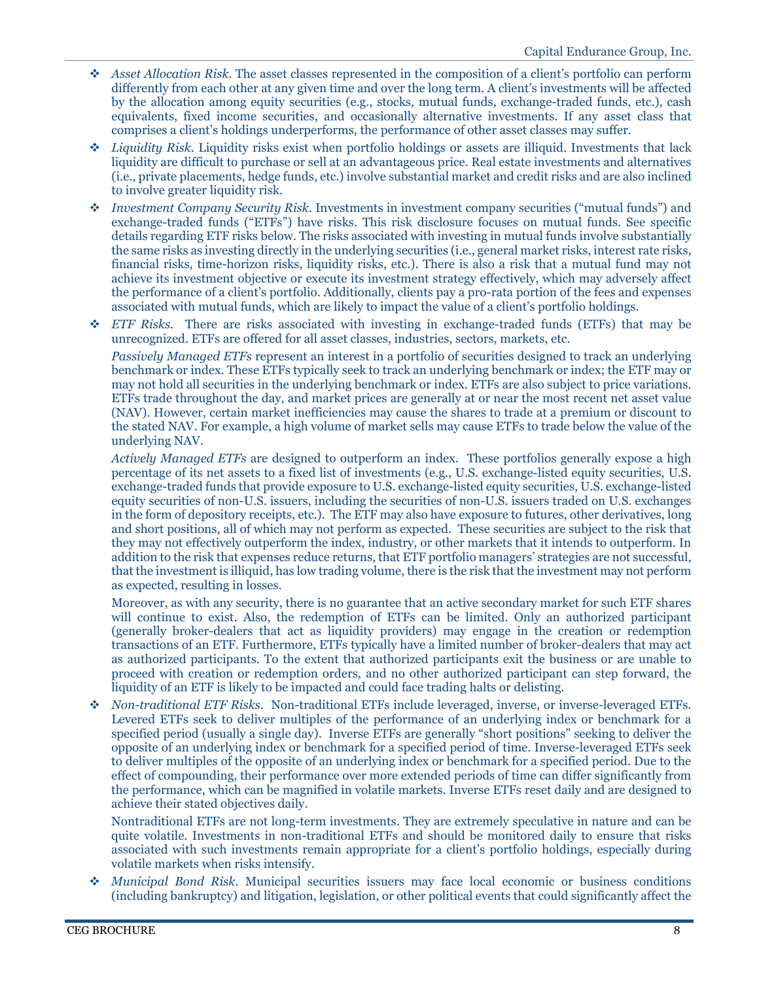- *Asset Allocation Risk.* The asset classes represented in the composition of a client's portfolio can perform differently from each other at any given time and over the long term. A client's investments will be affected by the allocation among equity securities (e.g., stocks, mutual funds, exchange-traded funds, etc.), cash equivalents, fixed income securities, and occasionally alternative investments. If any asset class that comprises a client's holdings underperforms, the performance of other asset classes may suffer.
- *Liquidity Risk*. Liquidity risks exist when portfolio holdings or assets are illiquid. Investments that lack liquidity are difficult to purchase or sell at an advantageous price. Real estate investments and alternatives (i.e., private placements, hedge funds, etc.) involve substantial market and credit risks and are also inclined to involve greater liquidity risk.
- *Investment Company Security Risk*. Investments in investment company securities ("mutual funds") and exchange-traded funds ("ETFs") have risks. This risk disclosure focuses on mutual funds. See specific details regarding ETF risks below. The risks associated with investing in mutual funds involve substantially the same risks as investing directly in the underlying securities (i.e., general market risks, interest rate risks, financial risks, time-horizon risks, liquidity risks, etc.). There is also a risk that a mutual fund may not achieve its investment objective or execute its investment strategy effectively, which may adversely affect the performance of a client's portfolio. Additionally, clients pay a pro-rata portion of the fees and expenses associated with mutual funds, which are likely to impact the value of a client's portfolio holdings.
- *ETF Risks.* There are risks associated with investing in exchange-traded funds (ETFs) that may be unrecognized. ETFs are offered for all asset classes, industries, sectors, markets, etc.

*Passively Managed ETFs* represent an interest in a portfolio of securities designed to track an underlying benchmark or index. These ETFs typically seek to track an underlying benchmark or index; the ETF may or may not hold all securities in the underlying benchmark or index. ETFs are also subject to price variations. ETFs trade throughout the day, and market prices are generally at or near the most recent net asset value (NAV). However, certain market inefficiencies may cause the shares to trade at a premium or discount to the stated NAV. For example, a high volume of market sells may cause ETFs to trade below the value of the underlying NAV.

*Actively Managed ETFs* are designed to outperform an index. These portfolios generally expose a high percentage of its net assets to a fixed list of investments (e.g., U.S. exchange-listed equity securities, U.S. exchange-traded funds that provide exposure to U.S. exchange-listed equity securities, U.S. exchange-listed equity securities of non-U.S. issuers, including the securities of non-U.S. issuers traded on U.S. exchanges in the form of depository receipts, etc.). The ETF may also have exposure to futures, other derivatives, long and short positions, all of which may not perform as expected. These securities are subject to the risk that they may not effectively outperform the index, industry, or other markets that it intends to outperform. In addition to the risk that expenses reduce returns, that ETF portfolio managers' strategies are not successful, that the investment is illiquid, has low trading volume, there is the risk that the investment may not perform as expected, resulting in losses.

Moreover, as with any security, there is no guarantee that an active secondary market for such ETF shares will continue to exist. Also, the redemption of ETFs can be limited. Only an authorized participant (generally broker-dealers that act as liquidity providers) may engage in the creation or redemption transactions of an ETF. Furthermore, ETFs typically have a limited number of broker-dealers that may act as authorized participants. To the extent that authorized participants exit the business or are unable to proceed with creation or redemption orders, and no other authorized participant can step forward, the liquidity of an ETF is likely to be impacted and could face trading halts or delisting.

 *Non-traditional ETF Risks*. Non-traditional ETFs include leveraged, inverse, or inverse-leveraged ETFs. Levered ETFs seek to deliver multiples of the performance of an underlying index or benchmark for a specified period (usually a single day). Inverse ETFs are generally "short positions" seeking to deliver the opposite of an underlying index or benchmark for a specified period of time. Inverse-leveraged ETFs seek to deliver multiples of the opposite of an underlying index or benchmark for a specified period. Due to the effect of compounding, their performance over more extended periods of time can differ significantly from the performance, which can be magnified in volatile markets. Inverse ETFs reset daily and are designed to achieve their stated objectives daily.

Nontraditional ETFs are not long-term investments. They are extremely speculative in nature and can be quite volatile. Investments in non-traditional ETFs and should be monitored daily to ensure that risks associated with such investments remain appropriate for a client's portfolio holdings, especially during volatile markets when risks intensify.

 *Municipal Bond Risk*. Municipal securities issuers may face local economic or business conditions (including bankruptcy) and litigation, legislation, or other political events that could significantly affect the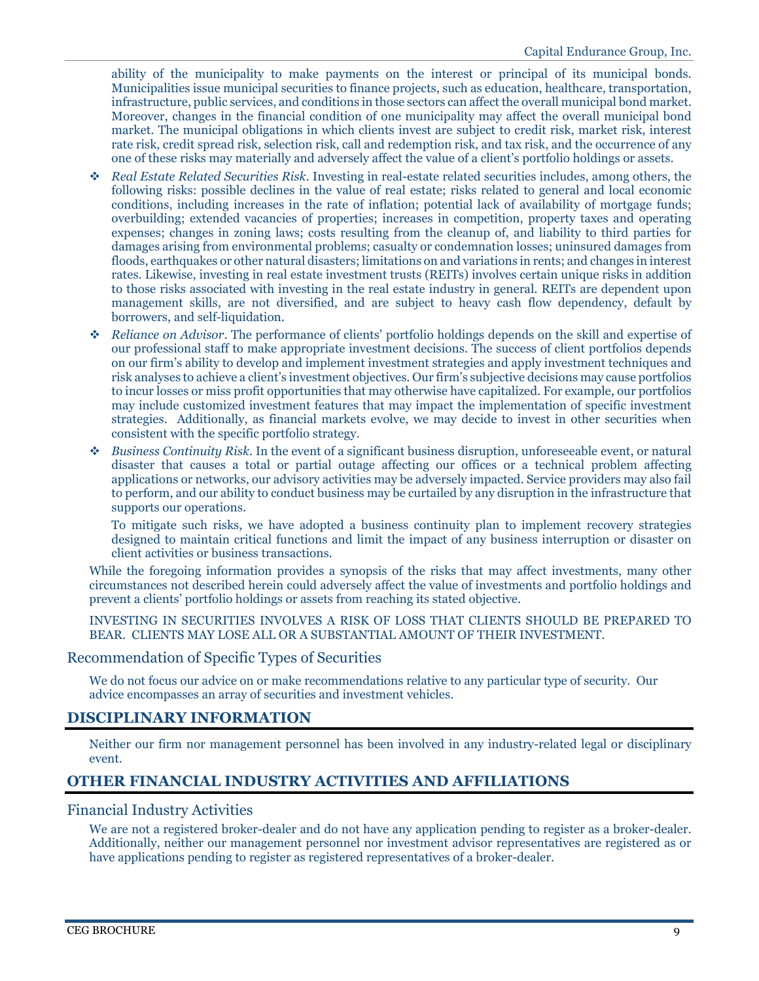ability of the municipality to make payments on the interest or principal of its municipal bonds. Municipalities issue municipal securities to finance projects, such as education, healthcare, transportation, infrastructure, public services, and conditions in those sectors can affect the overall municipal bond market. Moreover, changes in the financial condition of one municipality may affect the overall municipal bond market. The municipal obligations in which clients invest are subject to credit risk, market risk, interest rate risk, credit spread risk, selection risk, call and redemption risk, and tax risk, and the occurrence of any one of these risks may materially and adversely affect the value of a client's portfolio holdings or assets.

- *Real Estate Related Securities Risk*. Investing in real-estate related securities includes, among others, the following risks: possible declines in the value of real estate; risks related to general and local economic conditions, including increases in the rate of inflation; potential lack of availability of mortgage funds; overbuilding; extended vacancies of properties; increases in competition, property taxes and operating expenses; changes in zoning laws; costs resulting from the cleanup of, and liability to third parties for damages arising from environmental problems; casualty or condemnation losses; uninsured damages from floods, earthquakes or other natural disasters; limitations on and variations in rents; and changes in interest rates. Likewise, investing in real estate investment trusts (REITs) involves certain unique risks in addition to those risks associated with investing in the real estate industry in general. REITs are dependent upon management skills, are not diversified, and are subject to heavy cash flow dependency, default by borrowers, and self-liquidation.
- *Reliance on Advisor*. The performance of clients' portfolio holdings depends on the skill and expertise of our professional staff to make appropriate investment decisions. The success of client portfolios depends on our firm's ability to develop and implement investment strategies and apply investment techniques and risk analyses to achieve a client's investment objectives. Our firm's subjective decisions may cause portfolios to incur losses or miss profit opportunities that may otherwise have capitalized. For example, our portfolios may include customized investment features that may impact the implementation of specific investment strategies. Additionally, as financial markets evolve, we may decide to invest in other securities when consistent with the specific portfolio strategy.
- *Business Continuity Risk*. In the event of a significant business disruption, unforeseeable event, or natural disaster that causes a total or partial outage affecting our offices or a technical problem affecting applications or networks, our advisory activities may be adversely impacted. Service providers may also fail to perform, and our ability to conduct business may be curtailed by any disruption in the infrastructure that supports our operations.

To mitigate such risks, we have adopted a business continuity plan to implement recovery strategies designed to maintain critical functions and limit the impact of any business interruption or disaster on client activities or business transactions.

While the foregoing information provides a synopsis of the risks that may affect investments, many other circumstances not described herein could adversely affect the value of investments and portfolio holdings and prevent a clients' portfolio holdings or assets from reaching its stated objective.

INVESTING IN SECURITIES INVOLVES A RISK OF LOSS THAT CLIENTS SHOULD BE PREPARED TO BEAR. CLIENTS MAY LOSE ALL OR A SUBSTANTIAL AMOUNT OF THEIR INVESTMENT.

# <span id="page-10-0"></span>Recommendation of Specific Types of Securities

We do not focus our advice on or make recommendations relative to any particular type of security. Our advice encompasses an array of securities and investment vehicles.

# <span id="page-10-1"></span>**DISCIPLINARY INFORMATION**

Neither our firm nor management personnel has been involved in any industry-related legal or disciplinary event.

# <span id="page-10-2"></span>**OTHER FINANCIAL INDUSTRY ACTIVITIES AND AFFILIATIONS**

# <span id="page-10-3"></span>Financial Industry Activities

We are not a registered broker-dealer and do not have any application pending to register as a broker-dealer. Additionally, neither our management personnel nor investment advisor representatives are registered as or have applications pending to register as registered representatives of a broker-dealer.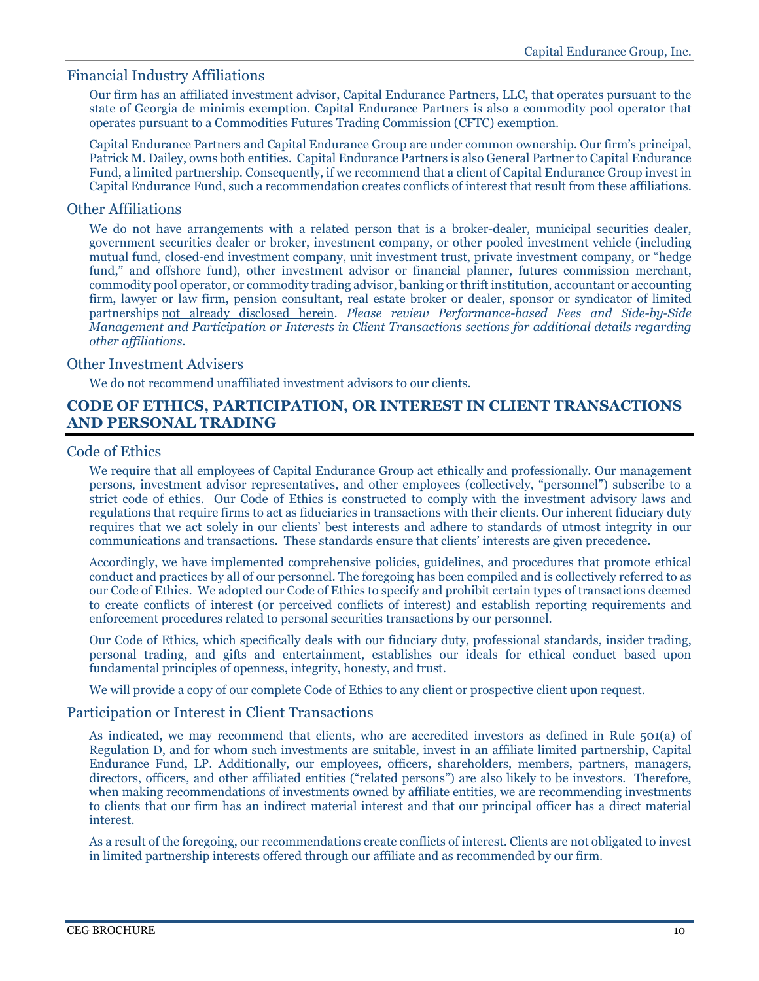# <span id="page-11-0"></span>Financial Industry Affiliations

Our firm has an affiliated investment advisor, Capital Endurance Partners, LLC, that operates pursuant to the state of Georgia de minimis exemption. Capital Endurance Partners is also a commodity pool operator that operates pursuant to a Commodities Futures Trading Commission (CFTC) exemption.

Capital Endurance Partners and Capital Endurance Group are under common ownership. Our firm's principal, Patrick M. Dailey, owns both entities. Capital Endurance Partners is also General Partner to Capital Endurance Fund, a limited partnership. Consequently, if we recommend that a client of Capital Endurance Group invest in Capital Endurance Fund, such a recommendation creates conflicts of interest that result from these affiliations.

# <span id="page-11-1"></span>Other Affiliations

We do not have arrangements with a related person that is a broker-dealer, municipal securities dealer, government securities dealer or broker, investment company, or other pooled investment vehicle (including mutual fund, closed-end investment company, unit investment trust, private investment company, or "hedge fund," and offshore fund), other investment advisor or financial planner, futures commission merchant, commodity pool operator, or commodity trading advisor, banking or thrift institution, accountant or accounting firm, lawyer or law firm, pension consultant, real estate broker or dealer, sponsor or syndicator of limited partnerships not already disclosed herein. *Please review Performance-based Fees and Side-by-Side Management and Participation or Interests in Client Transactions sections for additional details regarding other affiliations.*

# <span id="page-11-2"></span>Other Investment Advisers

We do not recommend unaffiliated investment advisors to our clients.

# <span id="page-11-3"></span>**CODE OF ETHICS, PARTICIPATION, OR INTEREST IN CLIENT TRANSACTIONS AND PERSONAL TRADING**

# <span id="page-11-4"></span>Code of Ethics

We require that all employees of Capital Endurance Group act ethically and professionally. Our management persons, investment advisor representatives, and other employees (collectively, "personnel") subscribe to a strict code of ethics. Our Code of Ethics is constructed to comply with the investment advisory laws and regulations that require firms to act as fiduciaries in transactions with their clients. Our inherent fiduciary duty requires that we act solely in our clients' best interests and adhere to standards of utmost integrity in our communications and transactions. These standards ensure that clients' interests are given precedence.

Accordingly, we have implemented comprehensive policies, guidelines, and procedures that promote ethical conduct and practices by all of our personnel. The foregoing has been compiled and is collectively referred to as our Code of Ethics. We adopted our Code of Ethics to specify and prohibit certain types of transactions deemed to create conflicts of interest (or perceived conflicts of interest) and establish reporting requirements and enforcement procedures related to personal securities transactions by our personnel.

Our Code of Ethics, which specifically deals with our fiduciary duty, professional standards, insider trading, personal trading, and gifts and entertainment, establishes our ideals for ethical conduct based upon fundamental principles of openness, integrity, honesty, and trust.

We will provide a copy of our complete Code of Ethics to any client or prospective client upon request.

# <span id="page-11-5"></span>Participation or Interest in Client Transactions

As indicated, we may recommend that clients, who are accredited investors as defined in Rule 501(a) of Regulation D, and for whom such investments are suitable, invest in an affiliate limited partnership, Capital Endurance Fund, LP. Additionally, our employees, officers, shareholders, members, partners, managers, directors, officers, and other affiliated entities ("related persons") are also likely to be investors. Therefore, when making recommendations of investments owned by affiliate entities, we are recommending investments to clients that our firm has an indirect material interest and that our principal officer has a direct material interest.

As a result of the foregoing, our recommendations create conflicts of interest. Clients are not obligated to invest in limited partnership interests offered through our affiliate and as recommended by our firm.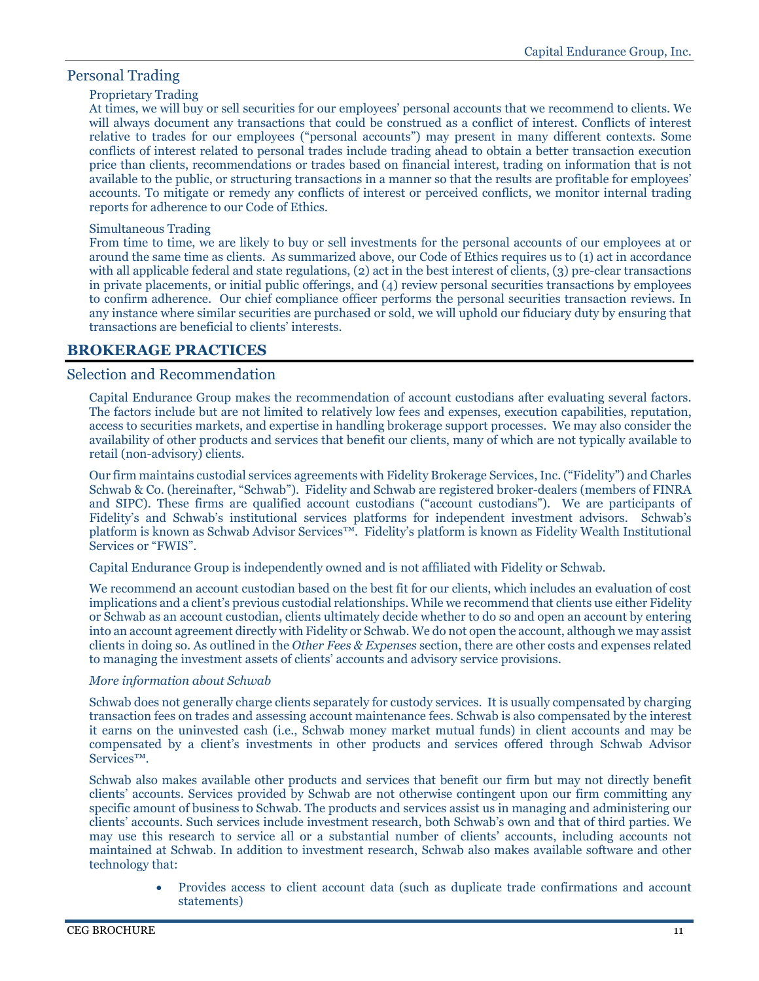# <span id="page-12-0"></span>Personal Trading

# Proprietary Trading

At times, we will buy or sell securities for our employees' personal accounts that we recommend to clients. We will always document any transactions that could be construed as a conflict of interest. Conflicts of interest relative to trades for our employees ("personal accounts") may present in many different contexts. Some conflicts of interest related to personal trades include trading ahead to obtain a better transaction execution price than clients, recommendations or trades based on financial interest, trading on information that is not available to the public, or structuring transactions in a manner so that the results are profitable for employees' accounts. To mitigate or remedy any conflicts of interest or perceived conflicts, we monitor internal trading reports for adherence to our Code of Ethics.

# Simultaneous Trading

From time to time, we are likely to buy or sell investments for the personal accounts of our employees at or around the same time as clients. As summarized above, our Code of Ethics requires us to (1) act in accordance with all applicable federal and state regulations, (2) act in the best interest of clients, (3) pre-clear transactions in private placements, or initial public offerings, and (4) review personal securities transactions by employees to confirm adherence. Our chief compliance officer performs the personal securities transaction reviews. In any instance where similar securities are purchased or sold, we will uphold our fiduciary duty by ensuring that transactions are beneficial to clients' interests.

# <span id="page-12-1"></span>**BROKERAGE PRACTICES**

# <span id="page-12-2"></span>Selection and Recommendation

Capital Endurance Group makes the recommendation of account custodians after evaluating several factors. The factors include but are not limited to relatively low fees and expenses, execution capabilities, reputation, access to securities markets, and expertise in handling brokerage support processes. We may also consider the availability of other products and services that benefit our clients, many of which are not typically available to retail (non-advisory) clients.

Our firm maintains custodial services agreements with Fidelity Brokerage Services, Inc. ("Fidelity") and Charles Schwab & Co. (hereinafter, "Schwab"). Fidelity and Schwab are registered broker-dealers (members of FINRA and SIPC). These firms are qualified account custodians ("account custodians"). We are participants of Fidelity's and Schwab's institutional services platforms for independent investment advisors. Schwab's platform is known as Schwab Advisor Services™. Fidelity's platform is known as Fidelity Wealth Institutional Services or "FWIS".

Capital Endurance Group is independently owned and is not affiliated with Fidelity or Schwab.

We recommend an account custodian based on the best fit for our clients, which includes an evaluation of cost implications and a client's previous custodial relationships. While we recommend that clients use either Fidelity or Schwab as an account custodian, clients ultimately decide whether to do so and open an account by entering into an account agreement directly with Fidelity or Schwab. We do not open the account, although we may assist clients in doing so. As outlined in the *Other Fees & Expenses* section, there are other costs and expenses related to managing the investment assets of clients' accounts and advisory service provisions.

# *More information about Schwab*

Schwab does not generally charge clients separately for custody services. It is usually compensated by charging transaction fees on trades and assessing account maintenance fees. Schwab is also compensated by the interest it earns on the uninvested cash (i.e., Schwab money market mutual funds) in client accounts and may be compensated by a client's investments in other products and services offered through Schwab Advisor Services™.

Schwab also makes available other products and services that benefit our firm but may not directly benefit clients' accounts. Services provided by Schwab are not otherwise contingent upon our firm committing any specific amount of business to Schwab. The products and services assist us in managing and administering our clients' accounts. Such services include investment research, both Schwab's own and that of third parties. We may use this research to service all or a substantial number of clients' accounts, including accounts not maintained at Schwab. In addition to investment research, Schwab also makes available software and other technology that:

> • Provides access to client account data (such as duplicate trade confirmations and account statements)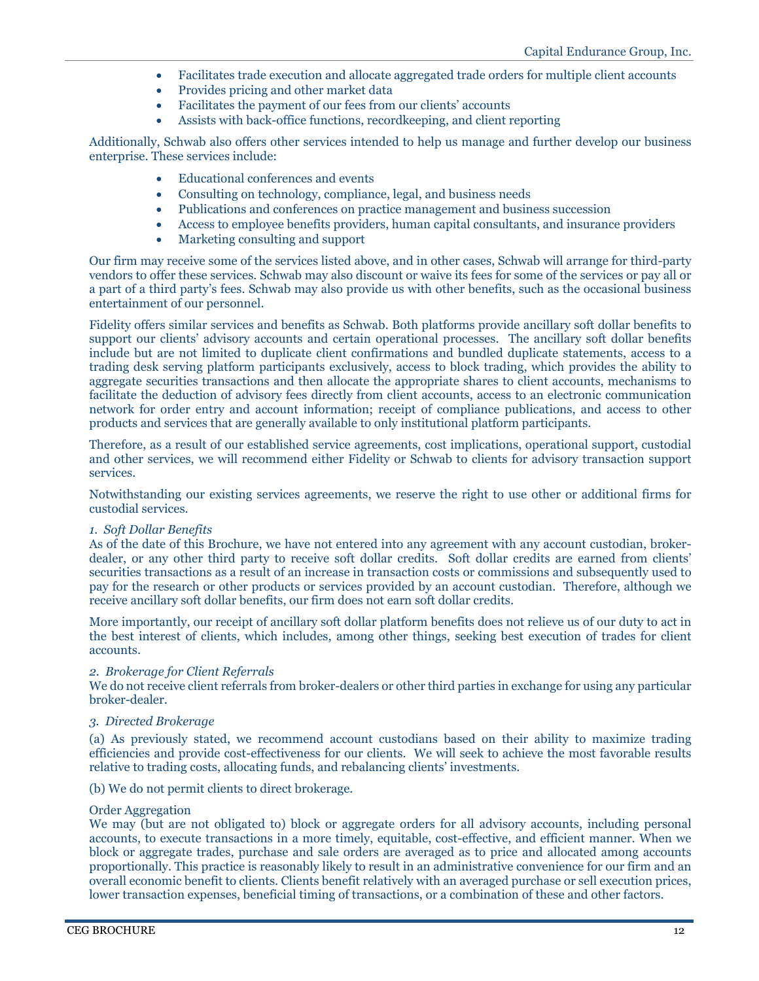- Facilitates trade execution and allocate aggregated trade orders for multiple client accounts
- Provides pricing and other market data
- Facilitates the payment of our fees from our clients' accounts
- Assists with back-office functions, recordkeeping, and client reporting

Additionally, Schwab also offers other services intended to help us manage and further develop our business enterprise. These services include:

- Educational conferences and events
- Consulting on technology, compliance, legal, and business needs
- Publications and conferences on practice management and business succession
- Access to employee benefits providers, human capital consultants, and insurance providers
- Marketing consulting and support

Our firm may receive some of the services listed above, and in other cases, Schwab will arrange for third-party vendors to offer these services. Schwab may also discount or waive its fees for some of the services or pay all or a part of a third party's fees. Schwab may also provide us with other benefits, such as the occasional business entertainment of our personnel.

Fidelity offers similar services and benefits as Schwab. Both platforms provide ancillary soft dollar benefits to support our clients' advisory accounts and certain operational processes. The ancillary soft dollar benefits include but are not limited to duplicate client confirmations and bundled duplicate statements, access to a trading desk serving platform participants exclusively, access to block trading, which provides the ability to aggregate securities transactions and then allocate the appropriate shares to client accounts, mechanisms to facilitate the deduction of advisory fees directly from client accounts, access to an electronic communication network for order entry and account information; receipt of compliance publications, and access to other products and services that are generally available to only institutional platform participants.

Therefore, as a result of our established service agreements, cost implications, operational support, custodial and other services, we will recommend either Fidelity or Schwab to clients for advisory transaction support services.

Notwithstanding our existing services agreements, we reserve the right to use other or additional firms for custodial services.

### *1. Soft Dollar Benefits*

As of the date of this Brochure, we have not entered into any agreement with any account custodian, brokerdealer, or any other third party to receive soft dollar credits. Soft dollar credits are earned from clients' securities transactions as a result of an increase in transaction costs or commissions and subsequently used to pay for the research or other products or services provided by an account custodian. Therefore, although we receive ancillary soft dollar benefits, our firm does not earn soft dollar credits.

More importantly, our receipt of ancillary soft dollar platform benefits does not relieve us of our duty to act in the best interest of clients, which includes, among other things, seeking best execution of trades for client accounts.

### *2. Brokerage for Client Referrals*

We do not receive client referrals from broker-dealers or other third parties in exchange for using any particular broker-dealer.

### *3. Directed Brokerage*

(a) As previously stated, we recommend account custodians based on their ability to maximize trading efficiencies and provide cost-effectiveness for our clients. We will seek to achieve the most favorable results relative to trading costs, allocating funds, and rebalancing clients' investments.

(b) We do not permit clients to direct brokerage.

#### Order Aggregation

We may (but are not obligated to) block or aggregate orders for all advisory accounts, including personal accounts, to execute transactions in a more timely, equitable, cost-effective, and efficient manner. When we block or aggregate trades, purchase and sale orders are averaged as to price and allocated among accounts proportionally. This practice is reasonably likely to result in an administrative convenience for our firm and an overall economic benefit to clients. Clients benefit relatively with an averaged purchase or sell execution prices, lower transaction expenses, beneficial timing of transactions, or a combination of these and other factors.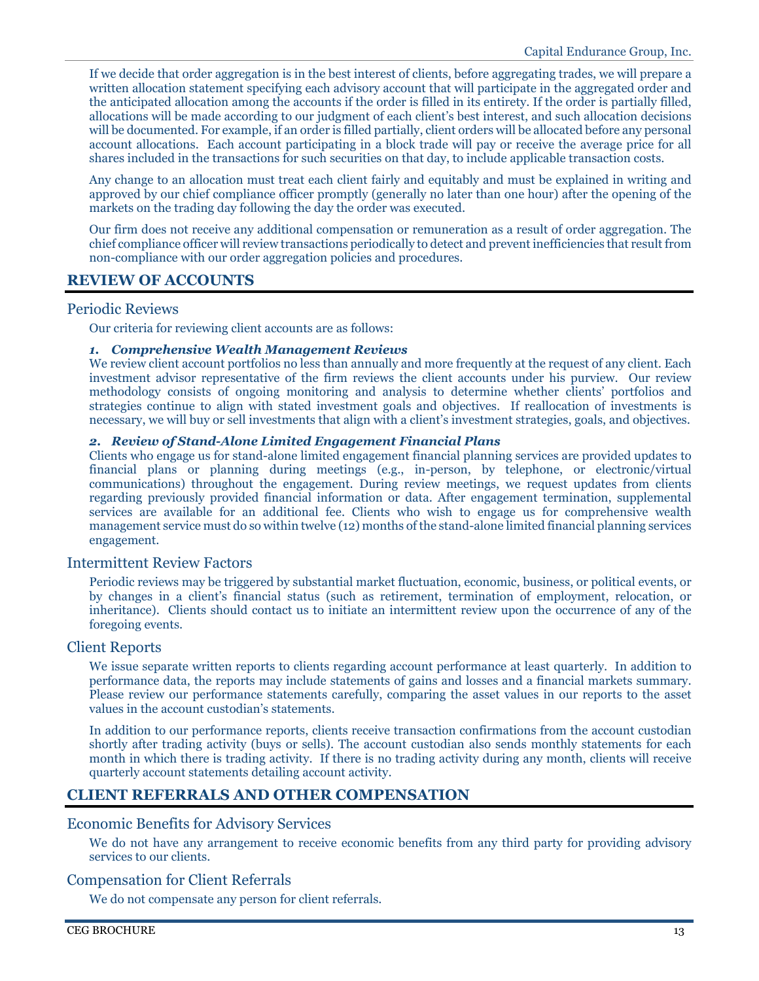If we decide that order aggregation is in the best interest of clients, before aggregating trades, we will prepare a written allocation statement specifying each advisory account that will participate in the aggregated order and the anticipated allocation among the accounts if the order is filled in its entirety. If the order is partially filled, allocations will be made according to our judgment of each client's best interest, and such allocation decisions will be documented. For example, if an order is filled partially, client orders will be allocated before any personal account allocations. Each account participating in a block trade will pay or receive the average price for all shares included in the transactions for such securities on that day, to include applicable transaction costs.

Any change to an allocation must treat each client fairly and equitably and must be explained in writing and approved by our chief compliance officer promptly (generally no later than one hour) after the opening of the markets on the trading day following the day the order was executed.

Our firm does not receive any additional compensation or remuneration as a result of order aggregation. The chief compliance officer will review transactions periodically to detect and prevent inefficiencies that result from non-compliance with our order aggregation policies and procedures.

# <span id="page-14-0"></span>**REVIEW OF ACCOUNTS**

# <span id="page-14-1"></span>Periodic Reviews

Our criteria for reviewing client accounts are as follows:

### *1. Comprehensive Wealth Management Reviews*

We review client account portfolios no less than annually and more frequently at the request of any client. Each investment advisor representative of the firm reviews the client accounts under his purview. Our review methodology consists of ongoing monitoring and analysis to determine whether clients' portfolios and strategies continue to align with stated investment goals and objectives. If reallocation of investments is necessary, we will buy or sell investments that align with a client's investment strategies, goals, and objectives.

### *2. Review of Stand-Alone Limited Engagement Financial Plans*

Clients who engage us for stand-alone limited engagement financial planning services are provided updates to financial plans or planning during meetings (e.g., in-person, by telephone, or electronic/virtual communications) throughout the engagement. During review meetings, we request updates from clients regarding previously provided financial information or data. After engagement termination, supplemental services are available for an additional fee. Clients who wish to engage us for comprehensive wealth management service must do so within twelve (12) months of the stand-alone limited financial planning services engagement.

# <span id="page-14-2"></span>Intermittent Review Factors

Periodic reviews may be triggered by substantial market fluctuation, economic, business, or political events, or by changes in a client's financial status (such as retirement, termination of employment, relocation, or inheritance). Clients should contact us to initiate an intermittent review upon the occurrence of any of the foregoing events.

# <span id="page-14-3"></span>Client Reports

We issue separate written reports to clients regarding account performance at least quarterly. In addition to performance data, the reports may include statements of gains and losses and a financial markets summary. Please review our performance statements carefully, comparing the asset values in our reports to the asset values in the account custodian's statements.

In addition to our performance reports, clients receive transaction confirmations from the account custodian shortly after trading activity (buys or sells). The account custodian also sends monthly statements for each month in which there is trading activity. If there is no trading activity during any month, clients will receive quarterly account statements detailing account activity.

# <span id="page-14-4"></span>**CLIENT REFERRALS AND OTHER COMPENSATION**

### <span id="page-14-5"></span>Economic Benefits for Advisory Services

We do not have any arrangement to receive economic benefits from any third party for providing advisory services to our clients.

# <span id="page-14-6"></span>Compensation for Client Referrals

We do not compensate any person for client referrals.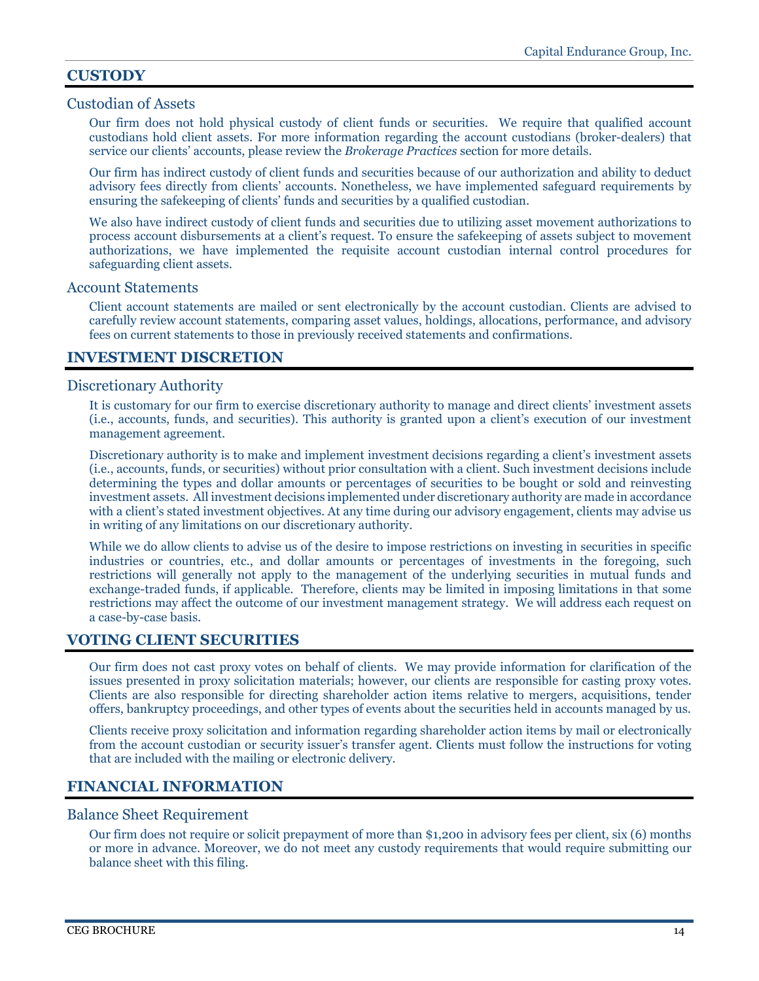# <span id="page-15-0"></span>**CUSTODY**

# <span id="page-15-1"></span>Custodian of Assets

Our firm does not hold physical custody of client funds or securities. We require that qualified account custodians hold client assets. For more information regarding the account custodians (broker-dealers) that service our clients' accounts, please review the *Brokerage Practices* section for more details.

Our firm has indirect custody of client funds and securities because of our authorization and ability to deduct advisory fees directly from clients' accounts. Nonetheless, we have implemented safeguard requirements by ensuring the safekeeping of clients' funds and securities by a qualified custodian.

We also have indirect custody of client funds and securities due to utilizing asset movement authorizations to process account disbursements at a client's request. To ensure the safekeeping of assets subject to movement authorizations, we have implemented the requisite account custodian internal control procedures for safeguarding client assets.

### <span id="page-15-2"></span>Account Statements

Client account statements are mailed or sent electronically by the account custodian. Clients are advised to carefully review account statements, comparing asset values, holdings, allocations, performance, and advisory fees on current statements to those in previously received statements and confirmations.

# <span id="page-15-3"></span>**INVESTMENT DISCRETION**

# <span id="page-15-4"></span>Discretionary Authority

It is customary for our firm to exercise discretionary authority to manage and direct clients' investment assets (i.e., accounts, funds, and securities). This authority is granted upon a client's execution of our investment management agreement.

Discretionary authority is to make and implement investment decisions regarding a client's investment assets (i.e., accounts, funds, or securities) without prior consultation with a client. Such investment decisions include determining the types and dollar amounts or percentages of securities to be bought or sold and reinvesting investment assets. All investment decisions implemented under discretionary authority are made in accordance with a client's stated investment objectives. At any time during our advisory engagement, clients may advise us in writing of any limitations on our discretionary authority.

While we do allow clients to advise us of the desire to impose restrictions on investing in securities in specific industries or countries, etc., and dollar amounts or percentages of investments in the foregoing, such restrictions will generally not apply to the management of the underlying securities in mutual funds and exchange-traded funds, if applicable. Therefore, clients may be limited in imposing limitations in that some restrictions may affect the outcome of our investment management strategy. We will address each request on a case-by-case basis.

# <span id="page-15-5"></span>**VOTING CLIENT SECURITIES**

Our firm does not cast proxy votes on behalf of clients. We may provide information for clarification of the issues presented in proxy solicitation materials; however, our clients are responsible for casting proxy votes. Clients are also responsible for directing shareholder action items relative to mergers, acquisitions, tender offers, bankruptcy proceedings, and other types of events about the securities held in accounts managed by us.

Clients receive proxy solicitation and information regarding shareholder action items by mail or electronically from the account custodian or security issuer's transfer agent. Clients must follow the instructions for voting that are included with the mailing or electronic delivery.

# <span id="page-15-6"></span>**FINANCIAL INFORMATION**

### <span id="page-15-7"></span>Balance Sheet Requirement

Our firm does not require or solicit prepayment of more than \$1,200 in advisory fees per client, six (6) months or more in advance. Moreover, we do not meet any custody requirements that would require submitting our balance sheet with this filing.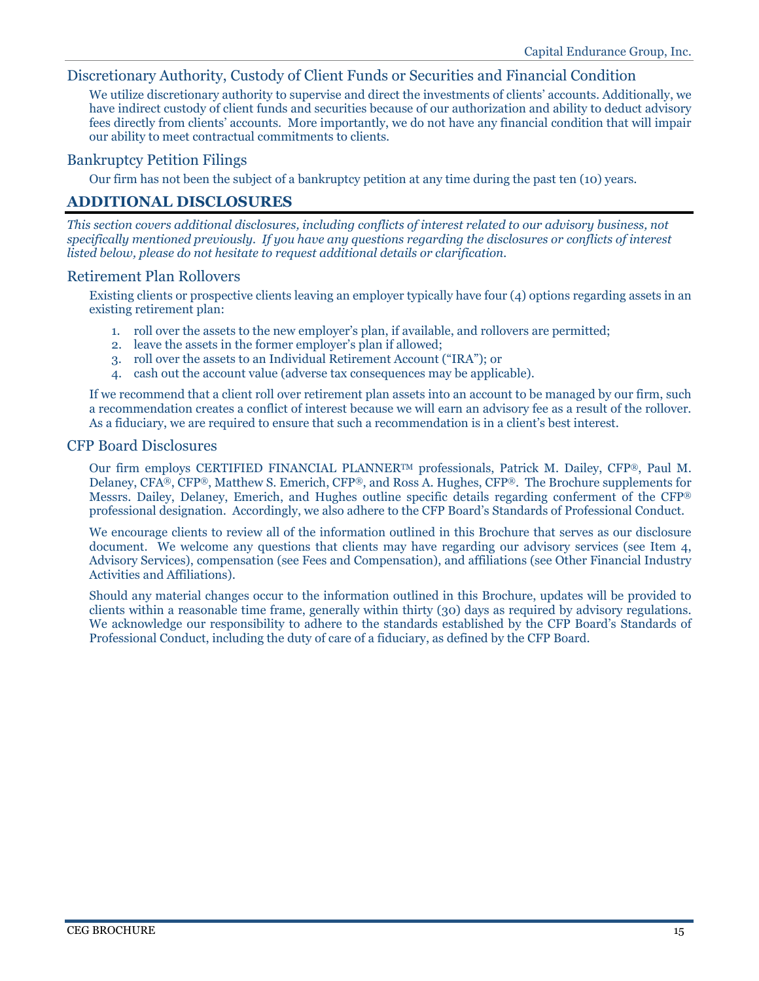# <span id="page-16-0"></span>Discretionary Authority, Custody of Client Funds or Securities and Financial Condition

We utilize discretionary authority to supervise and direct the investments of clients' accounts. Additionally, we have indirect custody of client funds and securities because of our authorization and ability to deduct advisory fees directly from clients' accounts. More importantly, we do not have any financial condition that will impair our ability to meet contractual commitments to clients.

# <span id="page-16-1"></span>Bankruptcy Petition Filings

Our firm has not been the subject of a bankruptcy petition at any time during the past ten (10) years.

# <span id="page-16-2"></span>**ADDITIONAL DISCLOSURES**

*This section covers additional disclosures, including conflicts of interest related to our advisory business, not specifically mentioned previously. If you have any questions regarding the disclosures or conflicts of interest listed below, please do not hesitate to request additional details or clarification.*

# <span id="page-16-3"></span>Retirement Plan Rollovers

Existing clients or prospective clients leaving an employer typically have four (4) options regarding assets in an existing retirement plan:

- 1. roll over the assets to the new employer's plan, if available, and rollovers are permitted;
- 2. leave the assets in the former employer's plan if allowed;
- 3. roll over the assets to an Individual Retirement Account ("IRA"); or
- 4. cash out the account value (adverse tax consequences may be applicable).

If we recommend that a client roll over retirement plan assets into an account to be managed by our firm, such a recommendation creates a conflict of interest because we will earn an advisory fee as a result of the rollover. As a fiduciary, we are required to ensure that such a recommendation is in a client's best interest.

# <span id="page-16-4"></span>CFP Board Disclosures

Our firm employs CERTIFIED FINANCIAL PLANNERTM professionals, Patrick M. Dailey, CFP®, Paul M. Delaney, CFA®, CFP®, Matthew S. Emerich, CFP®, and Ross A. Hughes, CFP®. The Brochure supplements for Messrs. Dailey, Delaney, Emerich, and Hughes outline specific details regarding conferment of the CFP® professional designation. Accordingly, we also adhere to the CFP Board's Standards of Professional Conduct.

We encourage clients to review all of the information outlined in this Brochure that serves as our disclosure document. We welcome any questions that clients may have regarding our advisory services (see Item 4, Advisory Services), compensation (see Fees and Compensation), and affiliations (see Other Financial Industry Activities and Affiliations).

Should any material changes occur to the information outlined in this Brochure, updates will be provided to clients within a reasonable time frame, generally within thirty (30) days as required by advisory regulations. We acknowledge our responsibility to adhere to the standards established by the CFP Board's Standards of Professional Conduct, including the duty of care of a fiduciary, as defined by the CFP Board.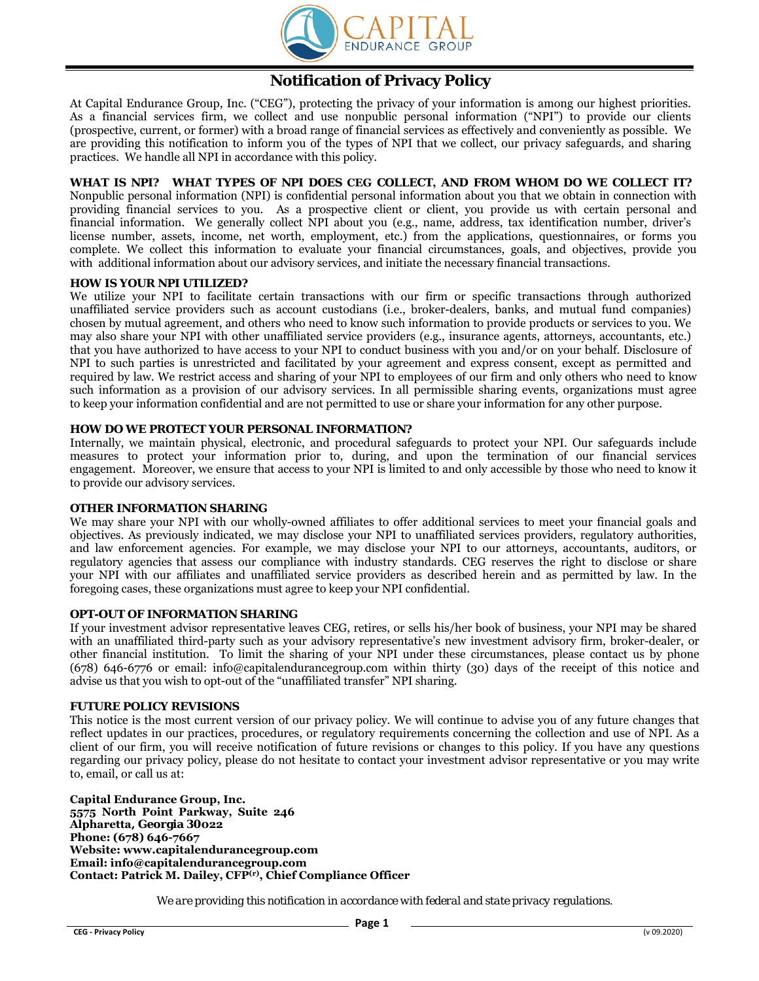

# **Notification of Privacy Policy**

At Capital Endurance Group, Inc. ("CEG"), protecting the privacy of your information is among our highest priorities. As a financial services firm, we collect and use nonpublic personal information ("NPI") to provide our clients (prospective, current, or former) with a broad range of financial services as effectively and conveniently as possible. We are providing this notification to inform you of the types of NPI that we collect, our privacy safeguards, and sharing practices. We handle all NPI in accordance with this policy.

#### **WHAT IS NPI? WHAT TYPES OF NPI DOES CEG COLLECT, AND FROM WHOM DO WE COLLECT IT?**  Nonpublic personal information (NPI) is confidential personal information about you that we obtain in connection with providing financial services to you. As a prospective client or client, you provide us with certain personal and financial information. We generally collect NPI about you (e.g., name, address, tax identification number, driver's license number, assets, income, net worth, employment, etc.) from the applications, questionnaires, or forms you complete. We collect this information to evaluate your financial circumstances, goals, and objectives, provide you with additional information about our advisory services, and initiate the necessary financial transactions.

#### **HOW IS YOUR NPI UTILIZED?**

We utilize your NPI to facilitate certain transactions with our firm or specific transactions through authorized unaffiliated service providers such as account custodians (i.e., broker-dealers, banks, and mutual fund companies) chosen by mutual agreement, and others who need to know such information to provide products or services to you. We may also share your NPI with other unaffiliated service providers (e.g., insurance agents, attorneys, accountants, etc.) that you have authorized to have access to your NPI to conduct business with you and/or on your behalf. Disclosure of NPI to such parties is unrestricted and facilitated by your agreement and express consent, except as permitted and required by law. We restrict access and sharing of your NPI to employees of our firm and only others who need to know such information as a provision of our advisory services. In all permissible sharing events, organizations must agree to keep your information confidential and are not permitted to use or share your information for any other purpose.

#### **HOW DO WE PROTECT YOUR PERSONAL INFORMATION?**

Internally, we maintain physical, electronic, and procedural safeguards to protect your NPI. Our safeguards include measures to protect your information prior to, during, and upon the termination of our financial services engagement. Moreover, we ensure that access to your NPI is limited to and only accessible by those who need to know it to provide our advisory services.

### **OTHER INFORMATION SHARING**

We may share your NPI with our wholly-owned affiliates to offer additional services to meet your financial goals and objectives. As previously indicated, we may disclose your NPI to unaffiliated services providers, regulatory authorities, and law enforcement agencies. For example, we may disclose your NPI to our attorneys, accountants, auditors, or regulatory agencies that assess our compliance with industry standards. CEG reserves the right to disclose or share your NPI with our affiliates and unaffiliated service providers as described herein and as permitted by law. In the foregoing cases, these organizations must agree to keep your NPI confidential.

#### **OPT-OUT OF INFORMATION SHARING**

If your investment advisor representative leaves CEG, retires, or sells his/her book of business, your NPI may be shared with an unaffiliated third-party such as your advisory representative's new investment advisory firm, broker-dealer, or other financial institution. To limit the sharing of your NPI under these circumstances, please contact us by phone (678) 646-6776 or email: info@capitalendurancegroup.com within thirty (30) days of the receipt of this notice and advise us that you wish to opt-out of the "unaffiliated transfer" NPI sharing.

#### **FUTURE POLICY REVISIONS**

This notice is the most current version of our privacy policy. We will continue to advise you of any future changes that reflect updates in our practices, procedures, or regulatory requirements concerning the collection and use of NPI. As a client of our firm, you will receive notification of future revisions or changes to this policy. If you have any questions regarding our privacy policy, please do not hesitate to contact your investment advisor representative or you may write to, email, or call us at:

**Capital Endurance Group, Inc. 5575 North Point Parkway, Suite 246 Alpharetta, Georgia 30022 Phone: (678) 646-7667 Website: www.capitalendurancegroup.com Email: info@capitalendurancegroup.com Contact: Patrick M. Dailey, CFP(r), Chief Compliance Officer**

*We are providing this notification in accordance with federal and state privacy regulations.*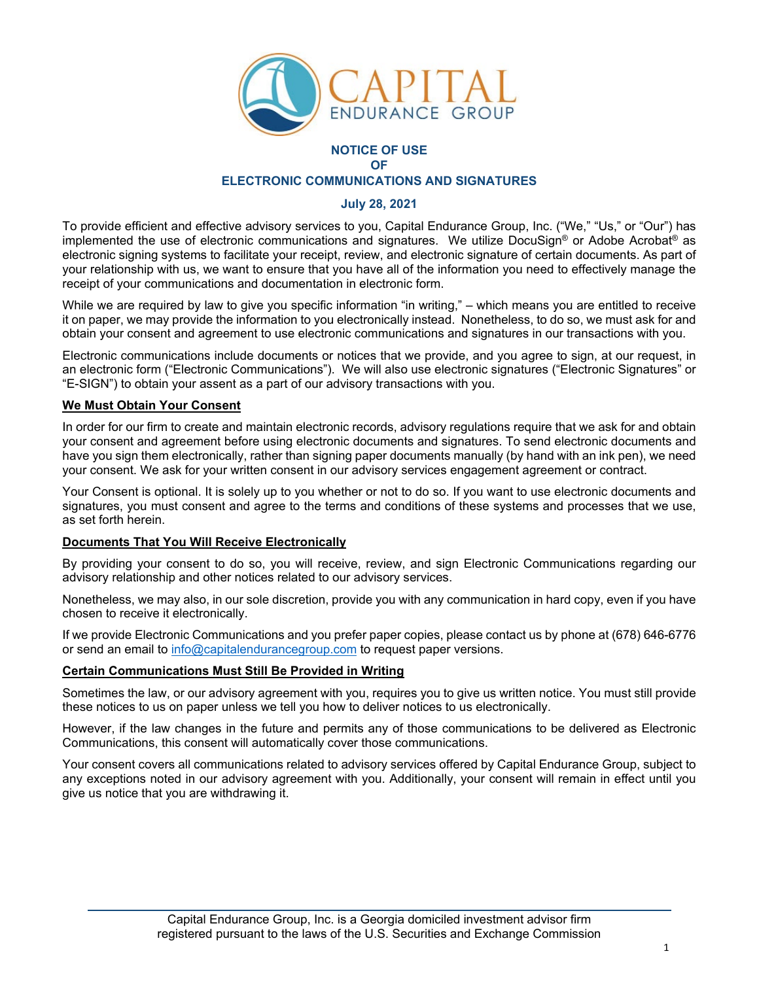

# **NOTICE OF USE OF ELECTRONIC COMMUNICATIONS AND SIGNATURES**

# **July 28, 2021**

To provide efficient and effective advisory services to you, Capital Endurance Group, Inc. ("We," "Us," or "Our") has implemented the use of electronic communications and signatures. We utilize DocuSign® or Adobe Acrobat® as electronic signing systems to facilitate your receipt, review, and electronic signature of certain documents. As part of your relationship with us, we want to ensure that you have all of the information you need to effectively manage the receipt of your communications and documentation in electronic form.

While we are required by law to give you specific information "in writing," – which means you are entitled to receive it on paper, we may provide the information to you electronically instead. Nonetheless, to do so, we must ask for and obtain your consent and agreement to use electronic communications and signatures in our transactions with you.

Electronic communications include documents or notices that we provide, and you agree to sign, at our request, in an electronic form ("Electronic Communications"). We will also use electronic signatures ("Electronic Signatures" or "E-SIGN") to obtain your assent as a part of our advisory transactions with you.

# **We Must Obtain Your Consent**

In order for our firm to create and maintain electronic records, advisory regulations require that we ask for and obtain your consent and agreement before using electronic documents and signatures. To send electronic documents and have you sign them electronically, rather than signing paper documents manually (by hand with an ink pen), we need your consent. We ask for your written consent in our advisory services engagement agreement or contract.

Your Consent is optional. It is solely up to you whether or not to do so. If you want to use electronic documents and signatures, you must consent and agree to the terms and conditions of these systems and processes that we use, as set forth herein.

### **Documents That You Will Receive Electronically**

By providing your consent to do so, you will receive, review, and sign Electronic Communications regarding our advisory relationship and other notices related to our advisory services.

Nonetheless, we may also, in our sole discretion, provide you with any communication in hard copy, even if you have chosen to receive it electronically.

If we provide Electronic Communications and you prefer paper copies, please contact us by phone at (678) 646-6776 or send an email to [info@capitalendurancegroup.com](mailto:info@capitalendurancegroup.com) to request paper versions.

# **Certain Communications Must Still Be Provided in Writing**

Sometimes the law, or our advisory agreement with you, requires you to give us written notice. You must still provide these notices to us on paper unless we tell you how to deliver notices to us electronically.

However, if the law changes in the future and permits any of those communications to be delivered as Electronic Communications, this consent will automatically cover those communications.

Your consent covers all communications related to advisory services offered by Capital Endurance Group, subject to any exceptions noted in our advisory agreement with you. Additionally, your consent will remain in effect until you give us notice that you are withdrawing it.